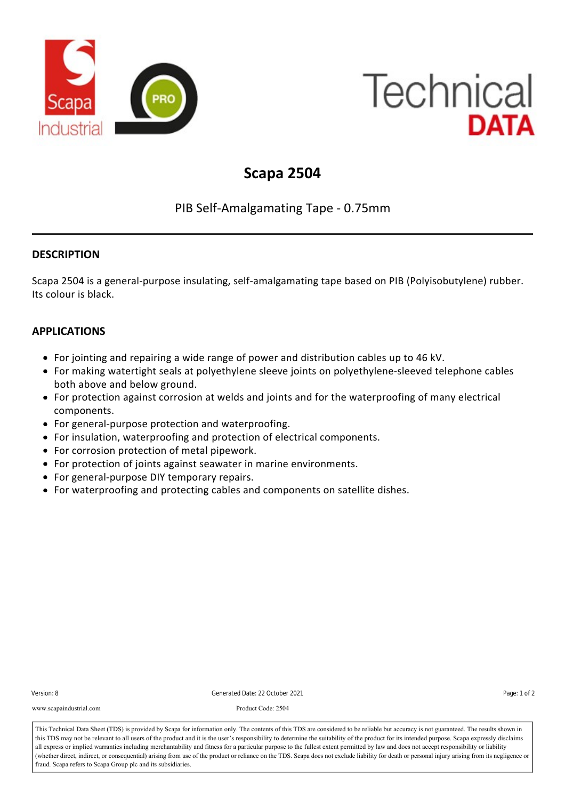

# **Technical** DATA

## **Scapa 2504**

### PIB Self‐Amalgamating Tape ‐ 0.75mm

#### **DESCRIPTION**

Scapa 2504 is a general-purpose insulating, self-amalgamating tape based on PIB (Polyisobutylene) rubber. Its colour is black.

#### **APPLICATIONS**

- For jointing and repairing a wide range of power and distribution cables up to 46 kV.
- For making watertight seals at polyethylene sleeve joints on polyethylene‐sleeved telephone cables both above and below ground.
- For protection against corrosion at welds and joints and for the waterproofing of many electrical components.
- For general-purpose protection and waterproofing.
- For insulation, waterproofing and protection of electrical components.
- For corrosion protection of metal pipework.
- For protection of joints against seawater in marine environments.
- For general-purpose DIY temporary repairs.
- For waterproofing and protecting cables and components on satellite dishes.

| Version: 8 |  |
|------------|--|
|------------|--|

The product is interleaved with a disposable plastic liner. Version: 8 Generated Date: 22 October 2021 Page: 1 of 2

www.scapaindustrial.com Product Code: 2504

This Technical Data Sheet (TDS) is provided by Scapa for information only. The contents of this TDS are considered to be reliable but accuracy is not guaranteed. The results shown in all express or implied warranties including merchantability and fitness for a particular purpose to the fullest extent permitted by law and does not accept responsibility or liability<br>(whether direct, indirect, or conseque fraud. Scapa refers to Scapa Group plc and its subsidiaries. this TDS may not be relevant to all users of the product and it is the user's responsibility to determine the suitability of the product for its intended purpose. Scapa expressly disclaims all express or implied warranties including merchantability and fitness for a particular purpose to the fullest extent permitted by law and does not accept responsibility or liability